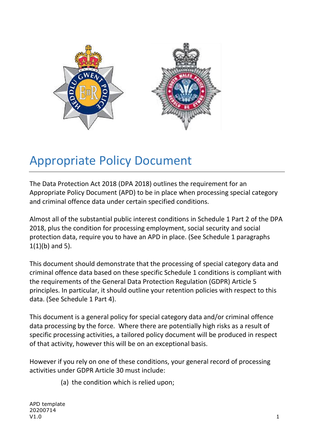

# Appropriate Policy Document

The Data Protection Act 2018 (DPA 2018) outlines the requirement for an Appropriate Policy Document (APD) to be in place when processing special category and criminal offence data under certain specified conditions.

Almost all of the substantial public interest conditions in Schedule 1 Part 2 of the DPA 2018, plus the condition for processing employment, social security and social protection data, require you to have an APD in place. (See Schedule 1 paragraphs  $1(1)(b)$  and 5).

This document should demonstrate that the processing of special category data and criminal offence data based on these specific Schedule 1 conditions is compliant with the requirements of the General Data Protection Regulation (GDPR) Article 5 principles. In particular, it should outline your retention policies with respect to this data. (See Schedule 1 Part 4).

This document is a general policy for special category data and/or criminal offence data processing by the force. Where there are potentially high risks as a result of specific processing activities, a tailored policy document will be produced in respect of that activity, however this will be on an exceptional basis.

However if you rely on one of these conditions, your general record of processing activities under GDPR Article 30 must include:

(a) the condition which is relied upon;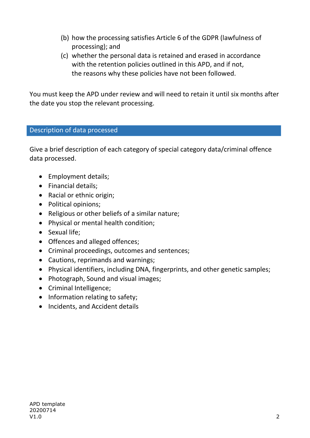- (b) how the processing satisfies Article 6 of the GDPR (lawfulness of processing); and
- (c) whether the personal data is retained and erased in accordance with the retention policies outlined in this APD, and if not, the reasons why these policies have not been followed.

You must keep the APD under review and will need to retain it until six months after the date you stop the relevant processing.

### Description of data processed

Give a brief description of each category of special category data/criminal offence data processed.

- Employment details;
- Financial details;
- Racial or ethnic origin;
- Political opinions;
- Religious or other beliefs of a similar nature;
- Physical or mental health condition;
- Sexual life;
- Offences and alleged offences;
- Criminal proceedings, outcomes and sentences;
- Cautions, reprimands and warnings;
- Physical identifiers, including DNA, fingerprints, and other genetic samples;
- Photograph, Sound and visual images;
- Criminal Intelligence;
- Information relating to safety;
- Incidents, and Accident details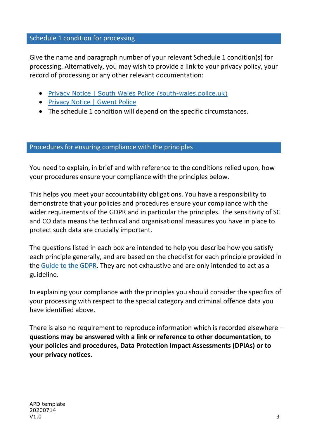#### Schedule 1 condition for processing

Give the name and paragraph number of your relevant Schedule 1 condition(s) for processing. Alternatively, you may wish to provide a link to your privacy policy, your record of processing or any other relevant documentation:

- [Privacy Notice | South Wales Police \(south-wales.police.uk\)](https://www.south-wales.police.uk/hyg/southwales/privacy-notice/)
- [Privacy Notice | Gwent Police](https://www.gwent.police.uk/hyg/fpngwent/privacy-notice/)
- The schedule 1 condition will depend on the specific circumstances.

#### Procedures for ensuring compliance with the principles

You need to explain, in brief and with reference to the conditions relied upon, how your procedures ensure your compliance with the principles below.

This helps you meet your accountability obligations. You have a responsibility to demonstrate that your policies and procedures ensure your compliance with the wider requirements of the GDPR and in particular the principles. The sensitivity of SC and CO data means the technical and organisational measures you have in place to protect such data are crucially important.

The questions listed in each box are intended to help you describe how you satisfy each principle generally, and are based on the checklist for each principle provided in the [Guide to the GDPR.](https://ico.org.uk/for-organisations/guide-to-data-protection/guide-to-the-general-data-protection-regulation-gdpr/) They are not exhaustive and are only intended to act as a guideline.

In explaining your compliance with the principles you should consider the specifics of your processing with respect to the special category and criminal offence data you have identified above.

There is also no requirement to reproduce information which is recorded elsewhere – **questions may be answered with a link or reference to other documentation, to your policies and procedures, Data Protection Impact Assessments (DPIAs) or to your privacy notices.**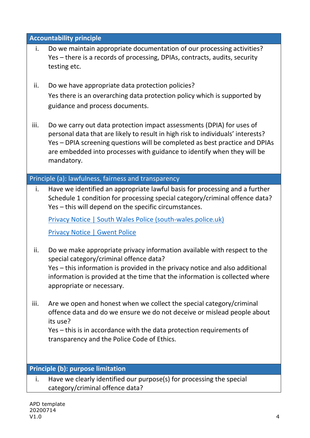| <b>Accountability principle</b> |                                                                                                                                                                                                                                                                                                                                  |  |
|---------------------------------|----------------------------------------------------------------------------------------------------------------------------------------------------------------------------------------------------------------------------------------------------------------------------------------------------------------------------------|--|
| i.                              | Do we maintain appropriate documentation of our processing activities?<br>Yes - there is a records of processing, DPIAs, contracts, audits, security<br>testing etc.                                                                                                                                                             |  |
| ii.                             | Do we have appropriate data protection policies?<br>Yes there is an overarching data protection policy which is supported by                                                                                                                                                                                                     |  |
|                                 | guidance and process documents.                                                                                                                                                                                                                                                                                                  |  |
| iii.                            | Do we carry out data protection impact assessments (DPIA) for uses of<br>personal data that are likely to result in high risk to individuals' interests?<br>Yes – DPIA screening questions will be completed as best practice and DPIAs<br>are embedded into processes with guidance to identify when they will be<br>mandatory. |  |
|                                 | Principle (a): lawfulness, fairness and transparency                                                                                                                                                                                                                                                                             |  |
| i.                              | Have we identified an appropriate lawful basis for processing and a further<br>Schedule 1 condition for processing special category/criminal offence data?<br>Yes – this will depend on the specific circumstances.                                                                                                              |  |
|                                 | <b>Privacy Notice   South Wales Police (south-wales.police.uk)</b>                                                                                                                                                                                                                                                               |  |
|                                 | <b>Privacy Notice   Gwent Police</b>                                                                                                                                                                                                                                                                                             |  |
| ii.                             | Do we make appropriate privacy information available with respect to the<br>special category/criminal offence data?                                                                                                                                                                                                              |  |
|                                 | Yes – this information is provided in the privacy notice and also additional<br>information is provided at the time that the information is collected where<br>appropriate or necessary.                                                                                                                                         |  |
| iii.                            | Are we open and honest when we collect the special category/criminal<br>offence data and do we ensure we do not deceive or mislead people about<br>its use?                                                                                                                                                                      |  |
|                                 | Yes – this is in accordance with the data protection requirements of                                                                                                                                                                                                                                                             |  |
|                                 | transparency and the Police Code of Ethics.                                                                                                                                                                                                                                                                                      |  |
|                                 |                                                                                                                                                                                                                                                                                                                                  |  |
|                                 | <b>Principle (b): purpose limitation</b>                                                                                                                                                                                                                                                                                         |  |
| i.                              | Have we clearly identified our purpose(s) for processing the special<br>category/criminal offence data?                                                                                                                                                                                                                          |  |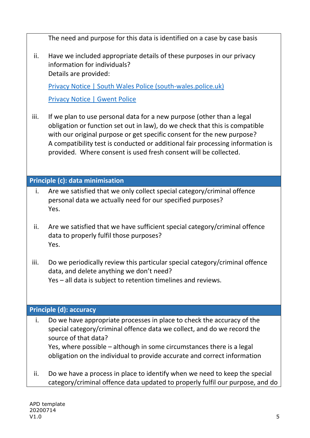|      | The need and purpose for this data is identified on a case by case basis                                                                                                                                                                                                                                                                                                             |
|------|--------------------------------------------------------------------------------------------------------------------------------------------------------------------------------------------------------------------------------------------------------------------------------------------------------------------------------------------------------------------------------------|
| ii.  | Have we included appropriate details of these purposes in our privacy<br>information for individuals?<br>Details are provided:                                                                                                                                                                                                                                                       |
|      | <b>Privacy Notice   South Wales Police (south-wales.police.uk)</b>                                                                                                                                                                                                                                                                                                                   |
|      | <b>Privacy Notice   Gwent Police</b>                                                                                                                                                                                                                                                                                                                                                 |
| iii. | If we plan to use personal data for a new purpose (other than a legal<br>obligation or function set out in law), do we check that this is compatible<br>with our original purpose or get specific consent for the new purpose?<br>A compatibility test is conducted or additional fair processing information is<br>provided. Where consent is used fresh consent will be collected. |
|      | Principle (c): data minimisation                                                                                                                                                                                                                                                                                                                                                     |
| i.   | Are we satisfied that we only collect special category/criminal offence<br>personal data we actually need for our specified purposes?<br>Yes.                                                                                                                                                                                                                                        |
| ii.  | Are we satisfied that we have sufficient special category/criminal offence<br>data to properly fulfil those purposes?<br>Yes.                                                                                                                                                                                                                                                        |
| iii. | Do we periodically review this particular special category/criminal offence<br>data, and delete anything we don't need?<br>Yes - all data is subject to retention timelines and reviews.                                                                                                                                                                                             |
|      | <b>Principle (d): accuracy</b>                                                                                                                                                                                                                                                                                                                                                       |
| i.   | Do we have appropriate processes in place to check the accuracy of the<br>special category/criminal offence data we collect, and do we record the<br>source of that data?<br>Yes, where possible – although in some circumstances there is a legal<br>obligation on the individual to provide accurate and correct information                                                       |
| ii.  | Do we have a process in place to identify when we need to keep the special<br>category/criminal offence data updated to properly fulfil our purpose, and do                                                                                                                                                                                                                          |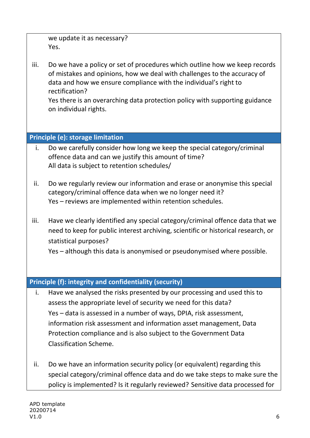| we update it as necessary? |
|----------------------------|
| Yes.                       |
|                            |

iii. Do we have a policy or set of procedures which outline how we keep records of mistakes and opinions, how we deal with challenges to the accuracy of data and how we ensure compliance with the individual's right to rectification?

Yes there is an overarching data protection policy with supporting guidance on individual rights.

## **Principle (e): storage limitation**

- i. Do we carefully consider how long we keep the special category/criminal offence data and can we justify this amount of time? All data is subject to retention schedules/
- ii. Do we regularly review our information and erase or anonymise this special category/criminal offence data when we no longer need it? Yes – reviews are implemented within retention schedules.
- iii. Have we clearly identified any special category/criminal offence data that we need to keep for public interest archiving, scientific or historical research, or statistical purposes?

Yes – although this data is anonymised or pseudonymised where possible.

# **Principle (f): integrity and confidentiality (security)**

- i. Have we analysed the risks presented by our processing and used this to assess the appropriate level of security we need for this data? Yes – data is assessed in a number of ways, DPIA, risk assessment, information risk assessment and information asset management, Data Protection compliance and is also subject to the Government Data Classification Scheme.
- ii. Do we have an information security policy (or equivalent) regarding this special category/criminal offence data and do we take steps to make sure the policy is implemented? Is it regularly reviewed? Sensitive data processed for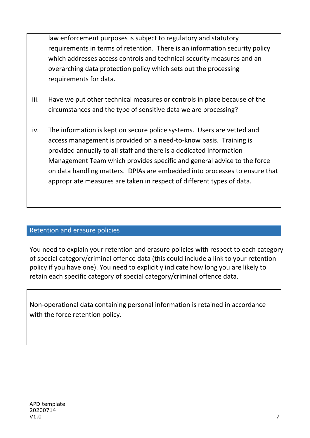law enforcement purposes is subject to regulatory and statutory requirements in terms of retention. There is an information security policy which addresses access controls and technical security measures and an overarching data protection policy which sets out the processing requirements for data.

- iii. Have we put other technical measures or controls in place because of the circumstances and the type of sensitive data we are processing?
- iv. The information is kept on secure police systems. Users are vetted and access management is provided on a need-to-know basis. Training is provided annually to all staff and there is a dedicated Information Management Team which provides specific and general advice to the force on data handling matters. DPIAs are embedded into processes to ensure that appropriate measures are taken in respect of different types of data.

#### Retention and erasure policies

You need to explain your retention and erasure policies with respect to each category of special category/criminal offence data (this could include a link to your retention policy if you have one). You need to explicitly indicate how long you are likely to retain each specific category of special category/criminal offence data.

Non-operational data containing personal information is retained in accordance with the force retention policy.